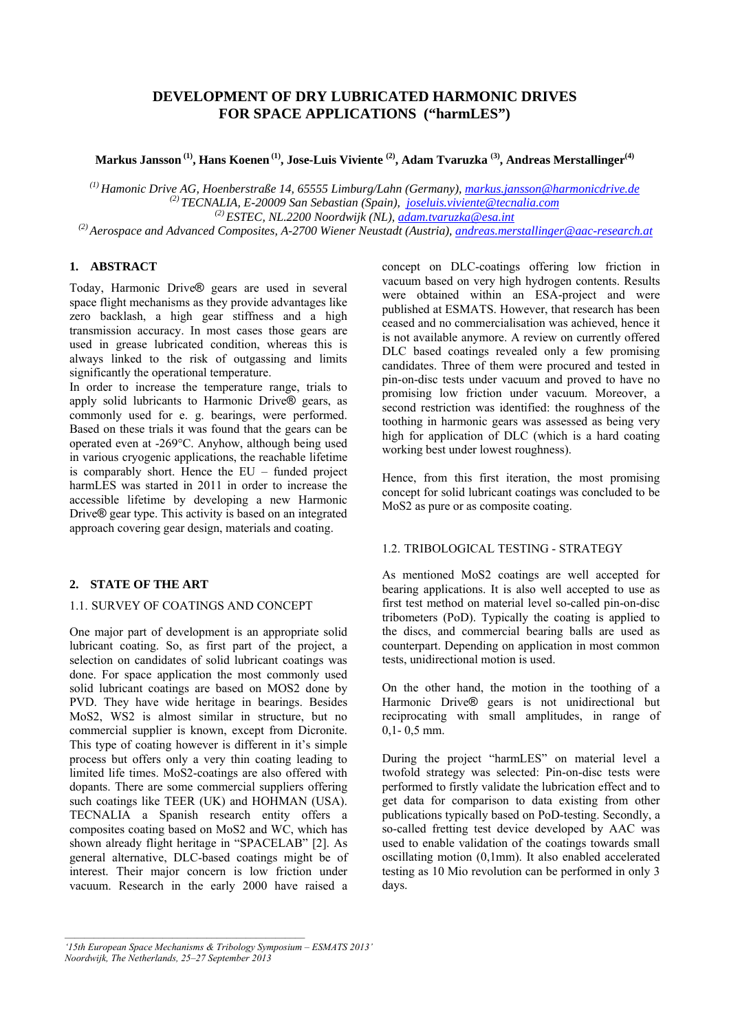# **DEVELOPMENT OF DRY LUBRICATED HARMONIC DRIVES FOR SPACE APPLICATIONS ("harmLES")**

**Markus Jansson (1), Hans Koenen (1), Jose-Luis Viviente (2), Adam Tvaruzka (3), Andreas Merstallinger(4)**

*(1) Hamonic Drive AG, Hoenberstraße 14, 65555 Limburg/Lahn (Germany), markus.jansson@harmonicdrive.de (2) TECNALIA, E-20009 San Sebastian (Spain), joseluis.viviente@tecnalia.com*

<sup>(2)</sup> Aerospace and Advanced Composites, A-2700 Wiener Neustadt (Austria), andreas.merstallinger@aac-research.at

# **1. ABSTRACT**

Today, Harmonic Drive® gears are used in several space flight mechanisms as they provide advantages like zero backlash, a high gear stiffness and a high transmission accuracy. In most cases those gears are used in grease lubricated condition, whereas this is always linked to the risk of outgassing and limits significantly the operational temperature.

In order to increase the temperature range, trials to apply solid lubricants to Harmonic Drive® gears, as commonly used for e. g. bearings, were performed. Based on these trials it was found that the gears can be operated even at -269°C. Anyhow, although being used in various cryogenic applications, the reachable lifetime is comparably short. Hence the EU – funded project harmLES was started in 2011 in order to increase the accessible lifetime by developing a new Harmonic Drive® gear type. This activity is based on an integrated approach covering gear design, materials and coating.

#### **2. STATE OF THE ART**

#### 1.1. SURVEY OF COATINGS AND CONCEPT

One major part of development is an appropriate solid lubricant coating. So, as first part of the project, a selection on candidates of solid lubricant coatings was done. For space application the most commonly used solid lubricant coatings are based on MOS2 done by PVD. They have wide heritage in bearings. Besides MoS2, WS2 is almost similar in structure, but no commercial supplier is known, except from Dicronite. This type of coating however is different in it's simple process but offers only a very thin coating leading to limited life times. MoS2-coatings are also offered with dopants. There are some commercial suppliers offering such coatings like TEER (UK) and HOHMAN (USA). TECNALIA a Spanish research entity offers a composites coating based on MoS2 and WC, which has shown already flight heritage in "SPACELAB" [2]. As general alternative, DLC-based coatings might be of interest. Their major concern is low friction under vacuum. Research in the early 2000 have raised a concept on DLC-coatings offering low friction in vacuum based on very high hydrogen contents. Results were obtained within an ESA-project and were published at ESMATS. However, that research has been ceased and no commercialisation was achieved, hence it is not available anymore. A review on currently offered DLC based coatings revealed only a few promising candidates. Three of them were procured and tested in pin-on-disc tests under vacuum and proved to have no promising low friction under vacuum. Moreover, a second restriction was identified: the roughness of the toothing in harmonic gears was assessed as being very high for application of DLC (which is a hard coating working best under lowest roughness).

Hence, from this first iteration, the most promising concept for solid lubricant coatings was concluded to be MoS2 as pure or as composite coating.

## 1.2. TRIBOLOGICAL TESTING - STRATEGY

As mentioned MoS2 coatings are well accepted for bearing applications. It is also well accepted to use as first test method on material level so-called pin-on-disc tribometers (PoD). Typically the coating is applied to the discs, and commercial bearing balls are used as counterpart. Depending on application in most common tests, unidirectional motion is used.

On the other hand, the motion in the toothing of a Harmonic Drive® gears is not unidirectional but reciprocating with small amplitudes, in range of  $0,1 - 0.5$  mm.

During the project "harmLES" on material level a twofold strategy was selected: Pin-on-disc tests were performed to firstly validate the lubrication effect and to get data for comparison to data existing from other publications typically based on PoD-testing. Secondly, a so-called fretting test device developed by AAC was used to enable validation of the coatings towards small oscillating motion (0,1mm). It also enabled accelerated testing as 10 Mio revolution can be performed in only 3 days.

*<sup>&#</sup>x27;15th European Space Mechanisms & Tribology Symposium – ESMATS 2013' Noordwijk, The Netherlands, 25–27 September 2013*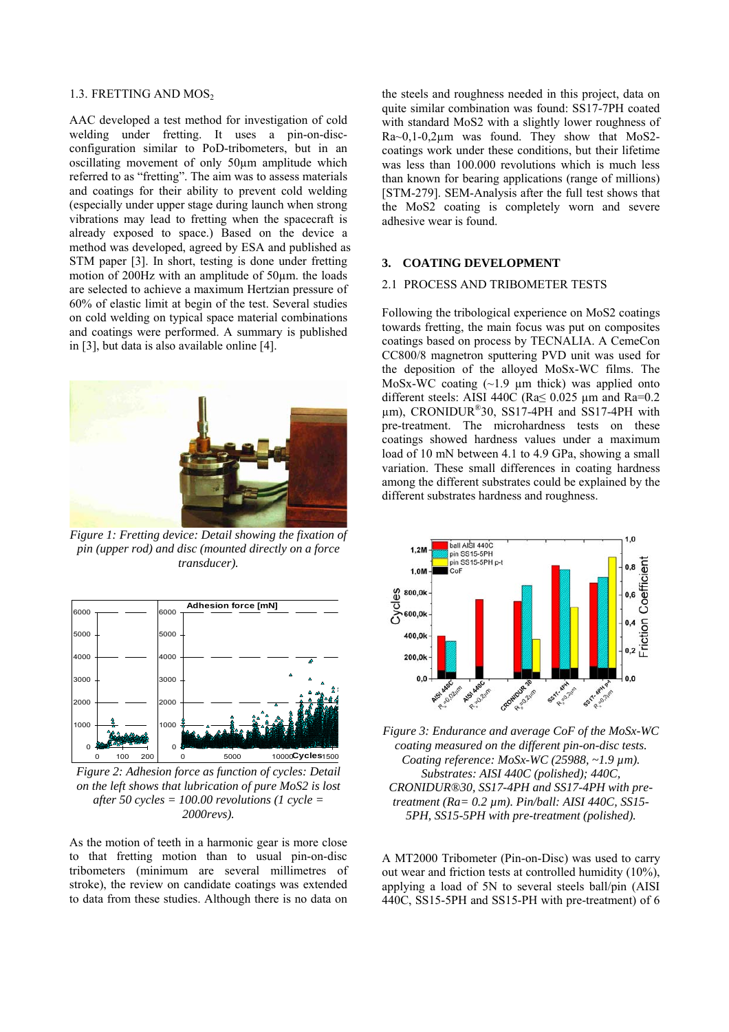#### 1.3. FRETTING AND MOS<sub>2</sub>

AAC developed a test method for investigation of cold welding under fretting. It uses a pin-on-discconfiguration similar to PoD-tribometers, but in an oscillating movement of only 50µm amplitude which referred to as "fretting". The aim was to assess materials and coatings for their ability to prevent cold welding (especially under upper stage during launch when strong vibrations may lead to fretting when the spacecraft is already exposed to space.) Based on the device a method was developed, agreed by ESA and published as STM paper [3]. In short, testing is done under fretting motion of 200Hz with an amplitude of 50µm. the loads are selected to achieve a maximum Hertzian pressure of 60% of elastic limit at begin of the test. Several studies on cold welding on typical space material combinations and coatings were performed. A summary is published in [3], but data is also available online [4].



*Figure 1: Fretting device: Detail showing the fixation of pin (upper rod) and disc (mounted directly on a force transducer).* 



*Figure 2: Adhesion force as function of cycles: Detail on the left shows that lubrication of pure MoS2 is lost after 50 cycles = 100.00 revolutions (1 cycle = 2000revs).* 

As the motion of teeth in a harmonic gear is more close to that fretting motion than to usual pin-on-disc tribometers (minimum are several millimetres of stroke), the review on candidate coatings was extended to data from these studies. Although there is no data on

the steels and roughness needed in this project, data on quite similar combination was found: SS17-7PH coated with standard MoS2 with a slightly lower roughness of Ra~0,1-0,2µm was found. They show that MoS2 coatings work under these conditions, but their lifetime was less than 100.000 revolutions which is much less than known for bearing applications (range of millions) [STM-279]. SEM-Analysis after the full test shows that the MoS2 coating is completely worn and severe adhesive wear is found.

## **3. COATING DEVELOPMENT**

#### 2.1 PROCESS AND TRIBOMETER TESTS

Following the tribological experience on MoS2 coatings towards fretting, the main focus was put on composites coatings based on process by TECNALIA. A CemeCon CC800/8 magnetron sputtering PVD unit was used for the deposition of the alloyed MoSx-WC films. The MoSx-WC coating  $(-1.9 \text{ µm thick})$  was applied onto different steels: AISI 440C ( $Ra \le 0.025 \mu m$  and  $Ra = 0.2$  $\mu$ m), CRONIDUR®30, SS17-4PH and SS17-4PH with pre-treatment. The microhardness tests on these coatings showed hardness values under a maximum load of 10 mN between 4.1 to 4.9 GPa, showing a small variation. These small differences in coating hardness among the different substrates could be explained by the different substrates hardness and roughness.



*Figure 3: Endurance and average CoF of the MoSx-WC coating measured on the different pin-on-disc tests. Coating reference: MoSx-WC (25988, ~1.9 µm). Substrates: AISI 440C (polished); 440C, CRONIDUR®30, SS17-4PH and SS17-4PH with pretreatment (Ra= 0.2 µm). Pin/ball: AISI 440C, SS15- 5PH, SS15-5PH with pre-treatment (polished).* 

A MT2000 Tribometer (Pin-on-Disc) was used to carry out wear and friction tests at controlled humidity (10%), applying a load of 5N to several steels ball/pin (AISI 440C, SS15-5PH and SS15-PH with pre-treatment) of 6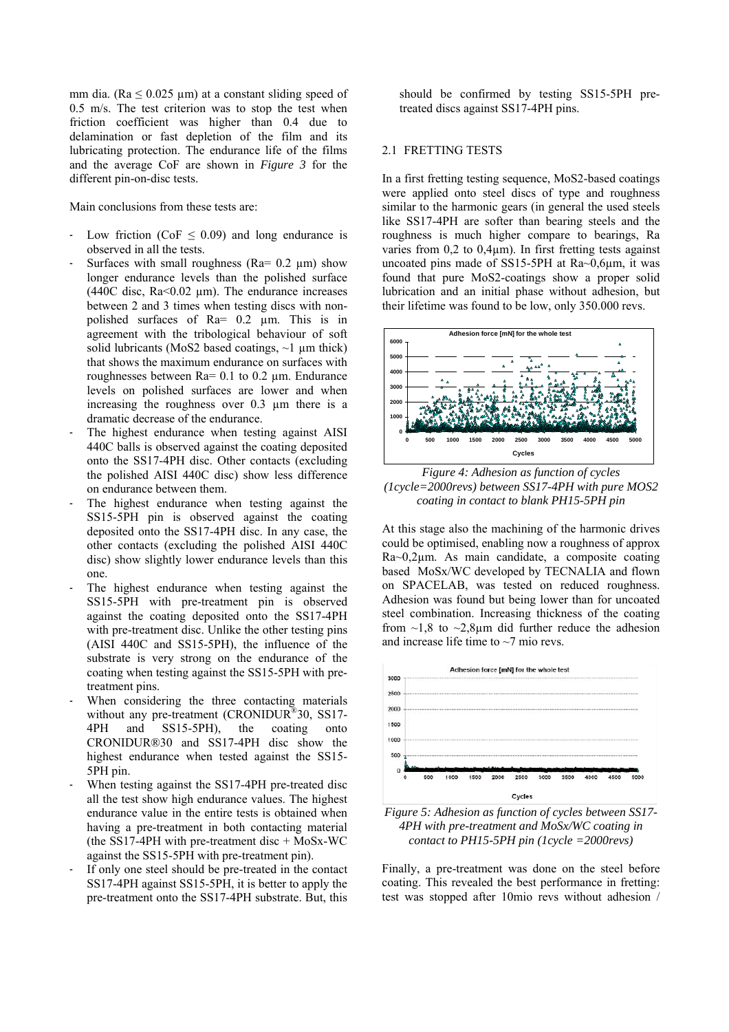mm dia. ( $Ra \le 0.025 \mu m$ ) at a constant sliding speed of 0.5 m/s. The test criterion was to stop the test when friction coefficient was higher than 0.4 due to delamination or fast depletion of the film and its lubricating protection. The endurance life of the films and the average CoF are shown in *Figure 3* for the different pin-on-disc tests.

Main conclusions from these tests are:

- Low friction (CoF  $\leq$  0.09) and long endurance is observed in all the tests.
- Surfaces with small roughness ( $Ra = 0.2 \mu m$ ) show longer endurance levels than the polished surface (440C disc,  $Ra<0.02 \mu m$ ). The endurance increases between 2 and 3 times when testing discs with nonpolished surfaces of Ra= 0.2 µm. This is in agreement with the tribological behaviour of soft solid lubricants (MoS2 based coatings,  $\sim$ 1 µm thick) that shows the maximum endurance on surfaces with roughnesses between Ra= 0.1 to 0.2 µm. Endurance levels on polished surfaces are lower and when increasing the roughness over 0.3 µm there is a dramatic decrease of the endurance.
- The highest endurance when testing against AISI 440C balls is observed against the coating deposited onto the SS17-4PH disc. Other contacts (excluding the polished AISI 440C disc) show less difference on endurance between them.
- The highest endurance when testing against the SS15-5PH pin is observed against the coating deposited onto the SS17-4PH disc. In any case, the other contacts (excluding the polished AISI 440C disc) show slightly lower endurance levels than this one.
- The highest endurance when testing against the SS15-5PH with pre-treatment pin is observed against the coating deposited onto the SS17-4PH with pre-treatment disc. Unlike the other testing pins (AISI 440C and SS15-5PH), the influence of the substrate is very strong on the endurance of the coating when testing against the SS15-5PH with pretreatment pins.
- When considering the three contacting materials without any pre-treatment (CRONIDUR®30, SS17-4PH and SS15-5PH), the coating onto CRONIDUR®30 and SS17-4PH disc show the highest endurance when tested against the SS15- 5PH pin.
- When testing against the SS17-4PH pre-treated disc all the test show high endurance values. The highest endurance value in the entire tests is obtained when having a pre-treatment in both contacting material (the SS17-4PH with pre-treatment disc  $+$  MoSx-WC against the SS15-5PH with pre-treatment pin).
- If only one steel should be pre-treated in the contact SS17-4PH against SS15-5PH, it is better to apply the pre-treatment onto the SS17-4PH substrate. But, this

should be confirmed by testing SS15-5PH pretreated discs against SS17-4PH pins.

#### 2.1 FRETTING TESTS

In a first fretting testing sequence, MoS2-based coatings were applied onto steel discs of type and roughness similar to the harmonic gears (in general the used steels like SS17-4PH are softer than bearing steels and the roughness is much higher compare to bearings, Ra varies from  $0.2$  to  $0.4\mu$ m). In first fretting tests against uncoated pins made of SS15-5PH at Ra~0,6µm, it was found that pure MoS2-coatings show a proper solid lubrication and an initial phase without adhesion, but their lifetime was found to be low, only 350.000 revs.



*Figure 4: Adhesion as function of cycles (1cycle=2000revs) between SS17-4PH with pure MOS2 coating in contact to blank PH15-5PH pin* 

At this stage also the machining of the harmonic drives could be optimised, enabling now a roughness of approx Ra~0,2µm. As main candidate, a composite coating based MoSx/WC developed by TECNALIA and flown on SPACELAB, was tested on reduced roughness. Adhesion was found but being lower than for uncoated steel combination. Increasing thickness of the coating from  $\sim$ 1,8 to  $\sim$ 2,8 $\mu$ m did further reduce the adhesion and increase life time to ~7 mio revs.



*Figure 5: Adhesion as function of cycles between SS17- 4PH with pre-treatment and MoSx/WC coating in contact to PH15-5PH pin (1cycle =2000revs)* 

Finally, a pre-treatment was done on the steel before coating. This revealed the best performance in fretting: test was stopped after 10mio revs without adhesion /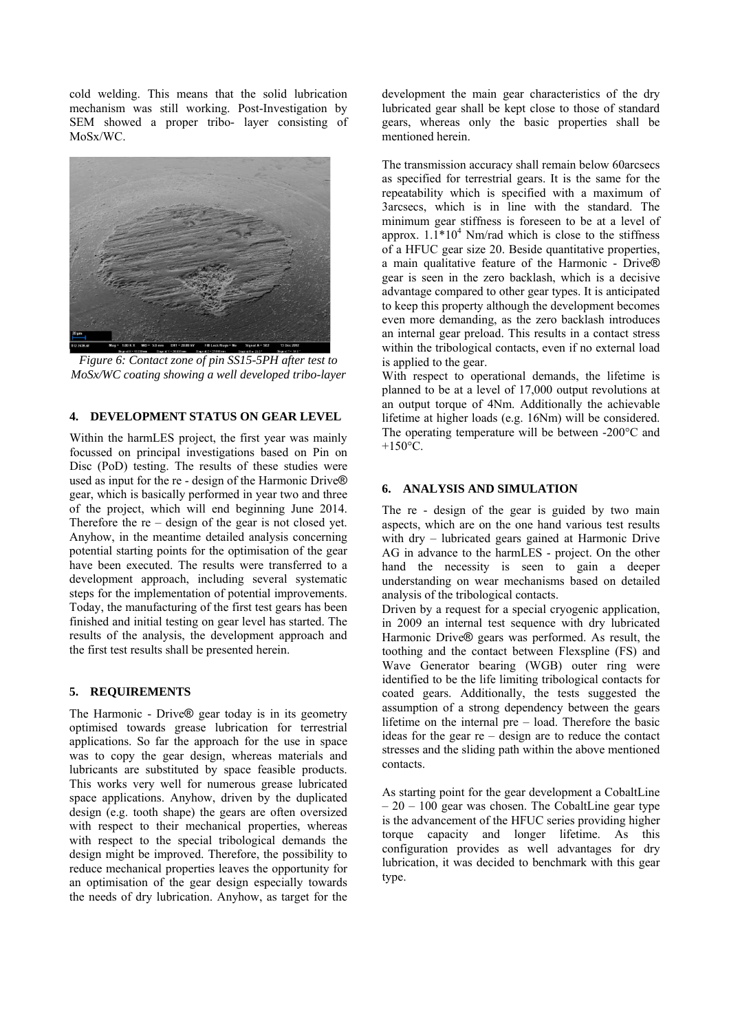cold welding. This means that the solid lubrication mechanism was still working. Post-Investigation by SEM showed a proper tribo- layer consisting of MoSx/WC.



*Figure 6: Contact zone of pin SS15-5PH after test to MoSx/WC coating showing a well developed tribo-layer* 

## **4. DEVELOPMENT STATUS ON GEAR LEVEL**

Within the harmLES project, the first year was mainly focussed on principal investigations based on Pin on Disc (PoD) testing. The results of these studies were used as input for the re - design of the Harmonic Drive® gear, which is basically performed in year two and three of the project, which will end beginning June 2014. Therefore the re – design of the gear is not closed yet. Anyhow, in the meantime detailed analysis concerning potential starting points for the optimisation of the gear have been executed. The results were transferred to a development approach, including several systematic steps for the implementation of potential improvements. Today, the manufacturing of the first test gears has been finished and initial testing on gear level has started. The results of the analysis, the development approach and the first test results shall be presented herein.

### **5. REQUIREMENTS**

The Harmonic - Drive® gear today is in its geometry optimised towards grease lubrication for terrestrial applications. So far the approach for the use in space was to copy the gear design, whereas materials and lubricants are substituted by space feasible products. This works very well for numerous grease lubricated space applications. Anyhow, driven by the duplicated design (e.g. tooth shape) the gears are often oversized with respect to their mechanical properties, whereas with respect to the special tribological demands the design might be improved. Therefore, the possibility to reduce mechanical properties leaves the opportunity for an optimisation of the gear design especially towards the needs of dry lubrication. Anyhow, as target for the development the main gear characteristics of the dry lubricated gear shall be kept close to those of standard gears, whereas only the basic properties shall be mentioned herein.

The transmission accuracy shall remain below 60arcsecs as specified for terrestrial gears. It is the same for the repeatability which is specified with a maximum of 3arcsecs, which is in line with the standard. The minimum gear stiffness is foreseen to be at a level of approx.  $1.1*10<sup>4</sup>$  Nm/rad which is close to the stiffness of a HFUC gear size 20. Beside quantitative properties, a main qualitative feature of the Harmonic - Drive® gear is seen in the zero backlash, which is a decisive advantage compared to other gear types. It is anticipated to keep this property although the development becomes even more demanding, as the zero backlash introduces an internal gear preload. This results in a contact stress within the tribological contacts, even if no external load is applied to the gear.

With respect to operational demands, the lifetime is planned to be at a level of 17,000 output revolutions at an output torque of 4Nm. Additionally the achievable lifetime at higher loads (e.g. 16Nm) will be considered. The operating temperature will be between -200°C and  $+150$ °C.

### **6. ANALYSIS AND SIMULATION**

The re - design of the gear is guided by two main aspects, which are on the one hand various test results with dry – lubricated gears gained at Harmonic Drive AG in advance to the harmLES - project. On the other hand the necessity is seen to gain a deeper understanding on wear mechanisms based on detailed analysis of the tribological contacts.

Driven by a request for a special cryogenic application, in 2009 an internal test sequence with dry lubricated Harmonic Drive® gears was performed. As result, the toothing and the contact between Flexspline (FS) and Wave Generator bearing (WGB) outer ring were identified to be the life limiting tribological contacts for coated gears. Additionally, the tests suggested the assumption of a strong dependency between the gears lifetime on the internal pre – load. Therefore the basic ideas for the gear re – design are to reduce the contact stresses and the sliding path within the above mentioned contacts.

As starting point for the gear development a CobaltLine  $-20 - 100$  gear was chosen. The CobaltLine gear type is the advancement of the HFUC series providing higher torque capacity and longer lifetime. As this configuration provides as well advantages for dry lubrication, it was decided to benchmark with this gear type.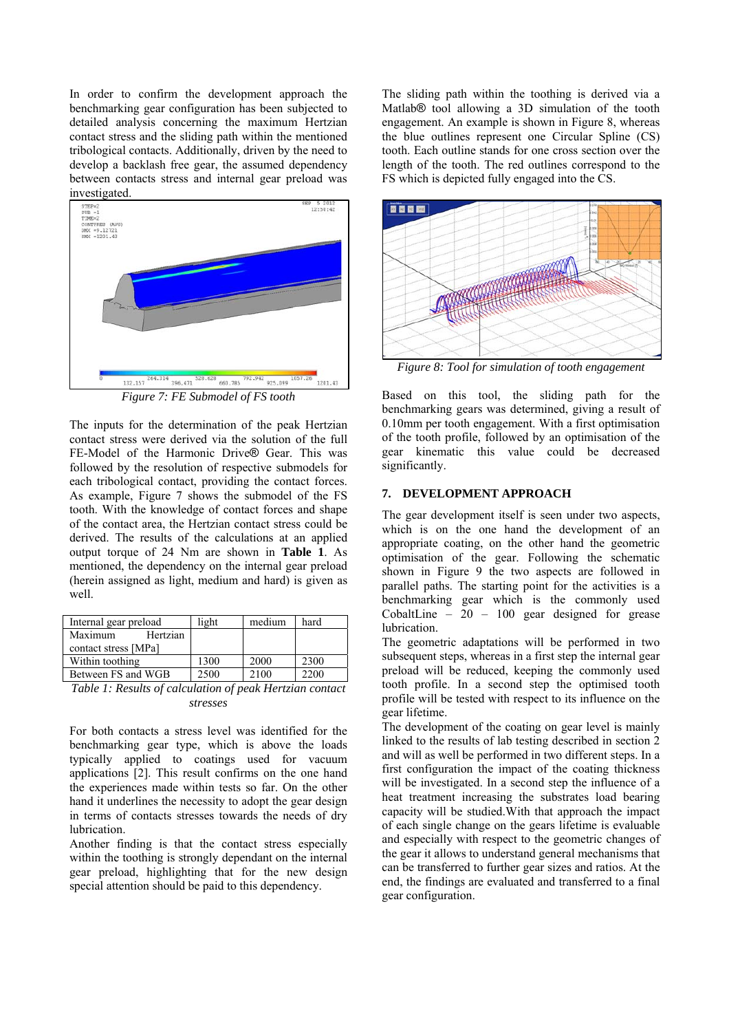In order to confirm the development approach the benchmarking gear configuration has been subjected to detailed analysis concerning the maximum Hertzian contact stress and the sliding path within the mentioned tribological contacts. Additionally, driven by the need to develop a backlash free gear, the assumed dependency between contacts stress and internal gear preload was investigated.



*Figure 7: FE Submodel of FS tooth* 

The inputs for the determination of the peak Hertzian contact stress were derived via the solution of the full FE-Model of the Harmonic Drive® Gear. This was followed by the resolution of respective submodels for each tribological contact, providing the contact forces. As example, Figure 7 shows the submodel of the FS tooth. With the knowledge of contact forces and shape of the contact area, the Hertzian contact stress could be derived. The results of the calculations at an applied output torque of 24 Nm are shown in **Table 1**. As mentioned, the dependency on the internal gear preload (herein assigned as light, medium and hard) is given as well.

| Internal gear preload | light | medium | hard |
|-----------------------|-------|--------|------|
| Maximum<br>Hertzian   |       |        |      |
| contact stress [MPa]  |       |        |      |
| Within toothing       | 1300  | 2000   | 2300 |
| Between FS and WGB    | 2500  | 2100   | 2200 |
|                       |       |        |      |

*Table 1: Results of calculation of peak Hertzian contact stresses* 

For both contacts a stress level was identified for the benchmarking gear type, which is above the loads typically applied to coatings used for vacuum applications [2]. This result confirms on the one hand the experiences made within tests so far. On the other hand it underlines the necessity to adopt the gear design in terms of contacts stresses towards the needs of dry lubrication.

Another finding is that the contact stress especially within the toothing is strongly dependant on the internal gear preload, highlighting that for the new design special attention should be paid to this dependency.

The sliding path within the toothing is derived via a Matlab® tool allowing a 3D simulation of the tooth engagement. An example is shown in Figure 8, whereas the blue outlines represent one Circular Spline (CS) tooth. Each outline stands for one cross section over the length of the tooth. The red outlines correspond to the FS which is depicted fully engaged into the CS.



*Figure 8: Tool for simulation of tooth engagement* 

Based on this tool, the sliding path for the benchmarking gears was determined, giving a result of 0.10mm per tooth engagement. With a first optimisation of the tooth profile, followed by an optimisation of the gear kinematic this value could be decreased significantly.

# **7. DEVELOPMENT APPROACH**

The gear development itself is seen under two aspects, which is on the one hand the development of an appropriate coating, on the other hand the geometric optimisation of the gear. Following the schematic shown in Figure 9 the two aspects are followed in parallel paths. The starting point for the activities is a benchmarking gear which is the commonly used CobaltLine –  $20 - 100$  gear designed for grease lubrication.

The geometric adaptations will be performed in two subsequent steps, whereas in a first step the internal gear preload will be reduced, keeping the commonly used tooth profile. In a second step the optimised tooth profile will be tested with respect to its influence on the gear lifetime.

The development of the coating on gear level is mainly linked to the results of lab testing described in section 2 and will as well be performed in two different steps. In a first configuration the impact of the coating thickness will be investigated. In a second step the influence of a heat treatment increasing the substrates load bearing capacity will be studied.With that approach the impact of each single change on the gears lifetime is evaluable and especially with respect to the geometric changes of the gear it allows to understand general mechanisms that can be transferred to further gear sizes and ratios. At the end, the findings are evaluated and transferred to a final gear configuration.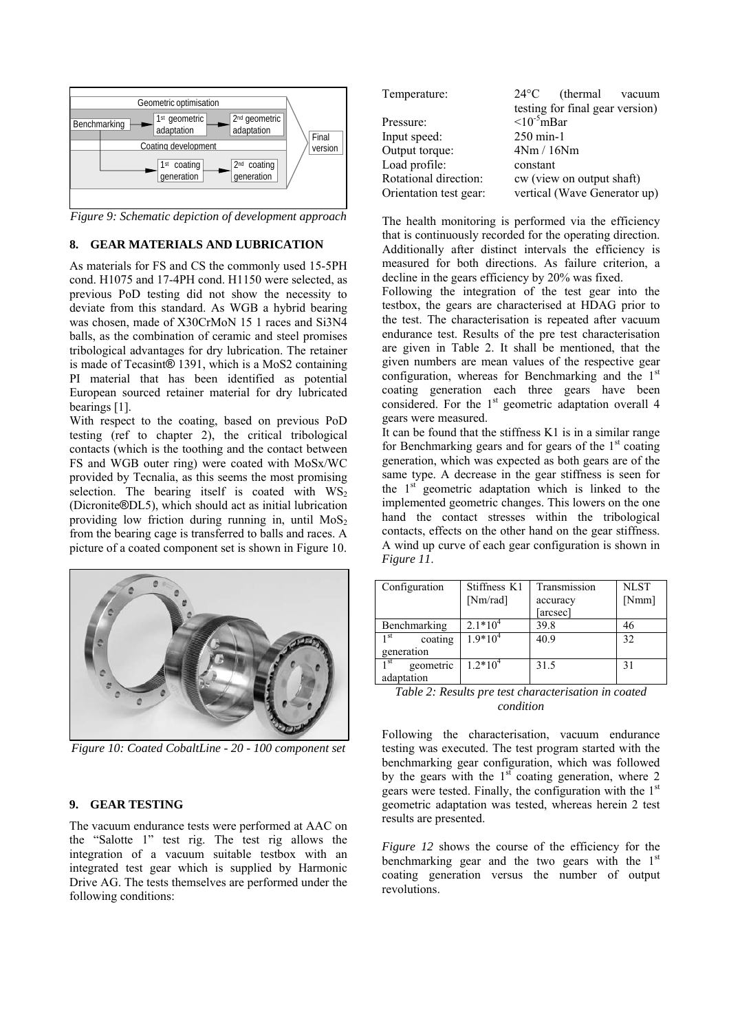

*Figure 9: Schematic depiction of development approach* 

## **8. GEAR MATERIALS AND LUBRICATION**

As materials for FS and CS the commonly used 15-5PH cond. H1075 and 17-4PH cond. H1150 were selected, as previous PoD testing did not show the necessity to deviate from this standard. As WGB a hybrid bearing was chosen, made of X30CrMoN 15 1 races and Si3N4 balls, as the combination of ceramic and steel promises tribological advantages for dry lubrication. The retainer is made of Tecasint® 1391, which is a MoS2 containing PI material that has been identified as potential European sourced retainer material for dry lubricated bearings [1].

With respect to the coating, based on previous PoD testing (ref to chapter 2), the critical tribological contacts (which is the toothing and the contact between FS and WGB outer ring) were coated with MoSx/WC provided by Tecnalia, as this seems the most promising selection. The bearing itself is coated with  $WS_2$ (Dicronite®DL5), which should act as initial lubrication providing low friction during running in, until  $MoS<sub>2</sub>$ from the bearing cage is transferred to balls and races. A picture of a coated component set is shown in Figure 10.



*Figure 10: Coated CobaltLine - 20 - 100 component set* 

## **9. GEAR TESTING**

The vacuum endurance tests were performed at AAC on the "Salotte 1" test rig. The test rig allows the integration of a vacuum suitable testbox with an integrated test gear which is supplied by Harmonic Drive AG. The tests themselves are performed under the following conditions:

| Temperature:           | $24^{\circ}$ C<br>(thermal vacuum |
|------------------------|-----------------------------------|
|                        | testing for final gear version)   |
| Pressure:              | $\leq 10^{-5}$ mBar               |
| Input speed:           | $250 \text{ min-1}$               |
| Output torque:         | 4Nm / 16Nm                        |
| Load profile:          | constant                          |
| Rotational direction:  | cw (view on output shaft)         |
| Orientation test gear: | vertical (Wave Generator up)      |

The health monitoring is performed via the efficiency that is continuously recorded for the operating direction. Additionally after distinct intervals the efficiency is measured for both directions. As failure criterion, a decline in the gears efficiency by 20% was fixed.

Following the integration of the test gear into the testbox, the gears are characterised at HDAG prior to the test. The characterisation is repeated after vacuum endurance test. Results of the pre test characterisation are given in Table 2. It shall be mentioned, that the given numbers are mean values of the respective gear configuration, whereas for Benchmarking and the 1<sup>st</sup> coating generation each three gears have been considered. For the 1<sup>st</sup> geometric adaptation overall 4 gears were measured.

It can be found that the stiffness K1 is in a similar range for Benchmarking gears and for gears of the  $1<sup>st</sup>$  coating generation, which was expected as both gears are of the same type. A decrease in the gear stiffness is seen for the  $1<sup>st</sup>$  geometric adaptation which is linked to the implemented geometric changes. This lowers on the one hand the contact stresses within the tribological contacts, effects on the other hand on the gear stiffness. A wind up curve of each gear configuration is shown in *Figure 11*.

| Configuration                | Stiffness K1 | Transmission | <b>NLST</b> |
|------------------------------|--------------|--------------|-------------|
|                              | [Nm/rad]     | accuracy     | [Nmm]       |
|                              |              | [arcsec]     |             |
| Benchmarking                 | $2.1*10^{4}$ | 39.8         | 46          |
| 1 st<br>coating              | $1.9*10^{4}$ | 40.9         | 32          |
| generation                   |              |              |             |
| 1 <sup>st</sup><br>geometric | $1.2*104$    | 31.5         | 31          |
| adaptation                   |              |              |             |

*Table 2: Results pre test characterisation in coated condition* 

Following the characterisation, vacuum endurance testing was executed. The test program started with the benchmarking gear configuration, which was followed by the gears with the  $1<sup>st</sup>$  coating generation, where 2 gears were tested. Finally, the configuration with the 1<sup>st</sup> geometric adaptation was tested, whereas herein 2 test results are presented.

*Figure 12* shows the course of the efficiency for the benchmarking gear and the two gears with the  $1<sup>st</sup>$ coating generation versus the number of output revolutions.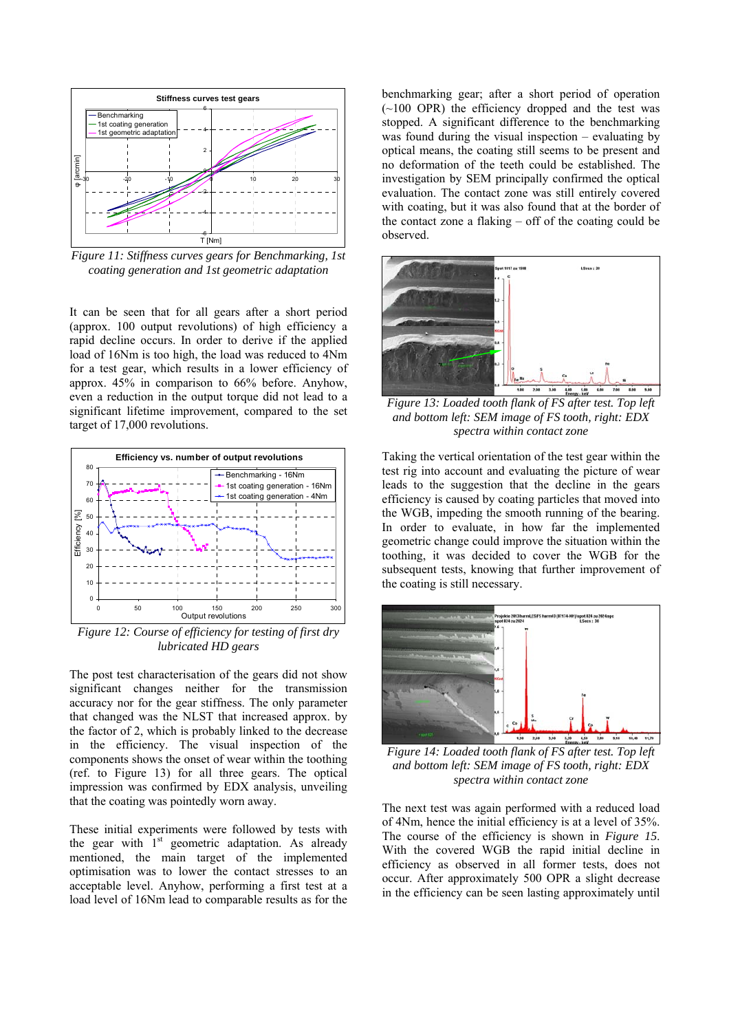

*Figure 11: Stiffness curves gears for Benchmarking, 1st coating generation and 1st geometric adaptation* 

It can be seen that for all gears after a short period (approx. 100 output revolutions) of high efficiency a rapid decline occurs. In order to derive if the applied load of 16Nm is too high, the load was reduced to 4Nm for a test gear, which results in a lower efficiency of approx. 45% in comparison to 66% before. Anyhow, even a reduction in the output torque did not lead to a significant lifetime improvement, compared to the set target of 17,000 revolutions.



*Figure 12: Course of efficiency for testing of first dry lubricated HD gears* 

The post test characterisation of the gears did not show significant changes neither for the transmission accuracy nor for the gear stiffness. The only parameter that changed was the NLST that increased approx. by the factor of 2, which is probably linked to the decrease in the efficiency. The visual inspection of the components shows the onset of wear within the toothing (ref. to Figure 13) for all three gears. The optical impression was confirmed by EDX analysis, unveiling that the coating was pointedly worn away.

These initial experiments were followed by tests with the gear with  $1<sup>st</sup>$  geometric adaptation. As already mentioned, the main target of the implemented optimisation was to lower the contact stresses to an acceptable level. Anyhow, performing a first test at a load level of 16Nm lead to comparable results as for the benchmarking gear; after a short period of operation  $(\sim 100$  OPR) the efficiency dropped and the test was stopped. A significant difference to the benchmarking was found during the visual inspection – evaluating by optical means, the coating still seems to be present and no deformation of the teeth could be established. The investigation by SEM principally confirmed the optical evaluation. The contact zone was still entirely covered with coating, but it was also found that at the border of the contact zone a flaking – off of the coating could be observed.



*Figure 13: Loaded tooth flank of FS after test. Top left and bottom left: SEM image of FS tooth, right: EDX spectra within contact zone* 

Taking the vertical orientation of the test gear within the test rig into account and evaluating the picture of wear leads to the suggestion that the decline in the gears efficiency is caused by coating particles that moved into the WGB, impeding the smooth running of the bearing. In order to evaluate, in how far the implemented geometric change could improve the situation within the toothing, it was decided to cover the WGB for the subsequent tests, knowing that further improvement of the coating is still necessary.



*Figure 14: Loaded tooth flank of FS after test. Top left and bottom left: SEM image of FS tooth, right: EDX spectra within contact zone* 

The next test was again performed with a reduced load of 4Nm, hence the initial efficiency is at a level of 35%. The course of the efficiency is shown in *Figure 15*. With the covered WGB the rapid initial decline in efficiency as observed in all former tests, does not occur. After approximately 500 OPR a slight decrease in the efficiency can be seen lasting approximately until